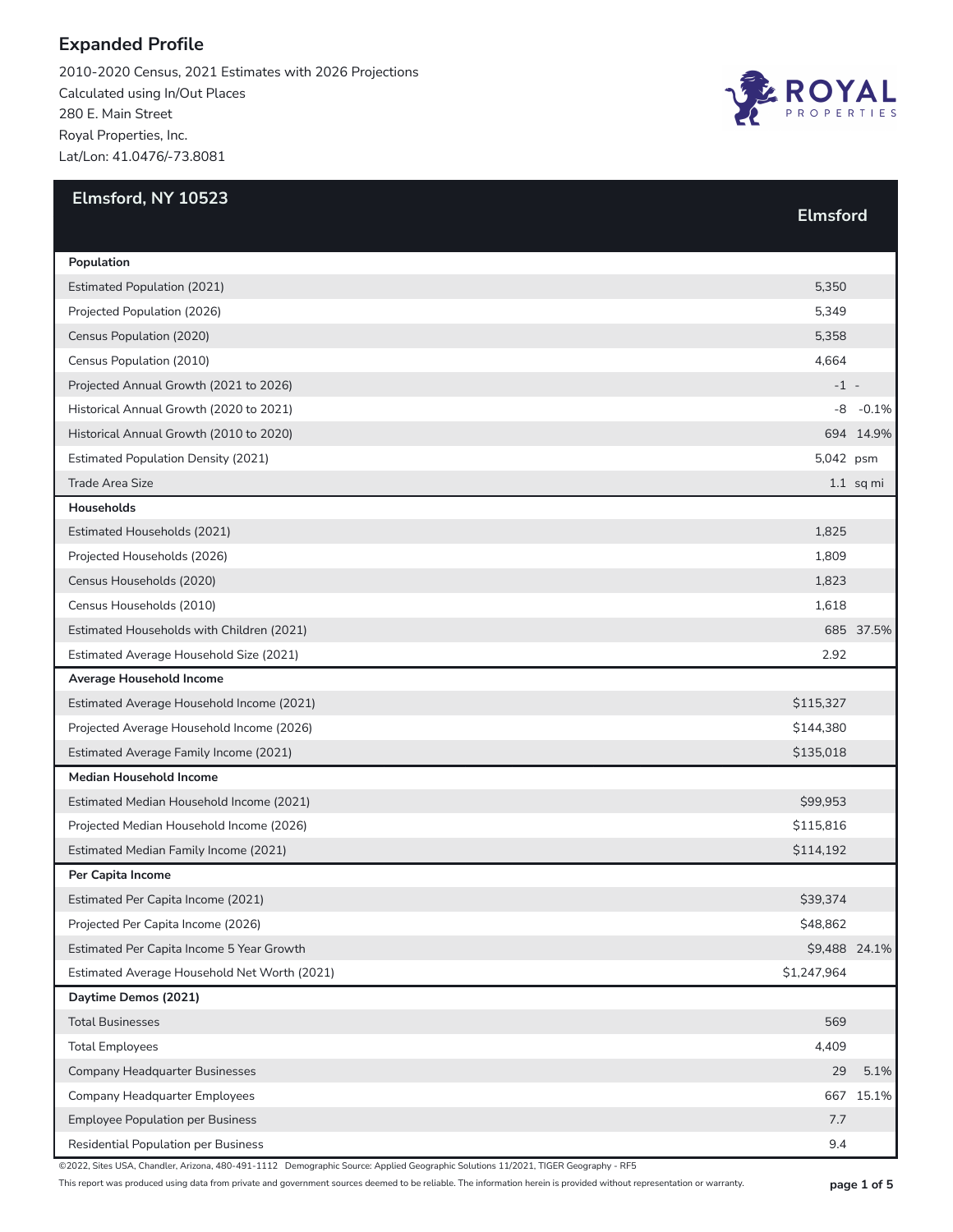2010-2020 Census, 2021 Estimates with 2026 Projections Calculated using In/Out Places 280 E. Main Street Royal Properties, Inc. Lat/Lon: 41.0476/-73.8081



| Elmsford, NY 10523                           | <b>Elmsford</b> |               |
|----------------------------------------------|-----------------|---------------|
|                                              |                 |               |
| Population                                   |                 |               |
| <b>Estimated Population (2021)</b>           | 5,350           |               |
| Projected Population (2026)                  | 5,349           |               |
| Census Population (2020)                     | 5,358           |               |
| Census Population (2010)                     | 4,664           |               |
| Projected Annual Growth (2021 to 2026)       | $-1 -$          |               |
| Historical Annual Growth (2020 to 2021)      | -8              | $-0.1%$       |
| Historical Annual Growth (2010 to 2020)      |                 | 694 14.9%     |
| <b>Estimated Population Density (2021)</b>   | 5,042 psm       |               |
| Trade Area Size                              |                 | $1.1$ sq mi   |
| <b>Households</b>                            |                 |               |
| Estimated Households (2021)                  | 1,825           |               |
| Projected Households (2026)                  | 1,809           |               |
| Census Households (2020)                     | 1,823           |               |
| Census Households (2010)                     | 1,618           |               |
| Estimated Households with Children (2021)    |                 | 685 37.5%     |
| Estimated Average Household Size (2021)      | 2.92            |               |
| Average Household Income                     |                 |               |
| Estimated Average Household Income (2021)    | \$115,327       |               |
| Projected Average Household Income (2026)    | \$144,380       |               |
| Estimated Average Family Income (2021)       | \$135,018       |               |
| <b>Median Household Income</b>               |                 |               |
| Estimated Median Household Income (2021)     | \$99,953        |               |
| Projected Median Household Income (2026)     | \$115,816       |               |
| Estimated Median Family Income (2021)        | \$114,192       |               |
| Per Capita Income                            |                 |               |
| Estimated Per Capita Income (2021)           | \$39,374        |               |
| Projected Per Capita Income (2026)           | \$48,862        |               |
| Estimated Per Capita Income 5 Year Growth    |                 | \$9,488 24.1% |
| Estimated Average Household Net Worth (2021) | \$1,247,964     |               |
| Daytime Demos (2021)                         |                 |               |
| <b>Total Businesses</b>                      | 569             |               |
| <b>Total Employees</b>                       | 4,409           |               |
| <b>Company Headquarter Businesses</b>        | 29              | 5.1%          |
| Company Headquarter Employees                | 667             | 15.1%         |
| <b>Employee Population per Business</b>      | 7.7             |               |
| <b>Residential Population per Business</b>   | 9.4             |               |

©2022, Sites USA, Chandler, Arizona, 480-491-1112 Demographic Source: Applied Geographic Solutions 11/2021, TIGER Geography - RF5

This report was produced using data from private and government sources deemed to be reliable. The information herein is provided without representation or warranty. **page 1 of 5**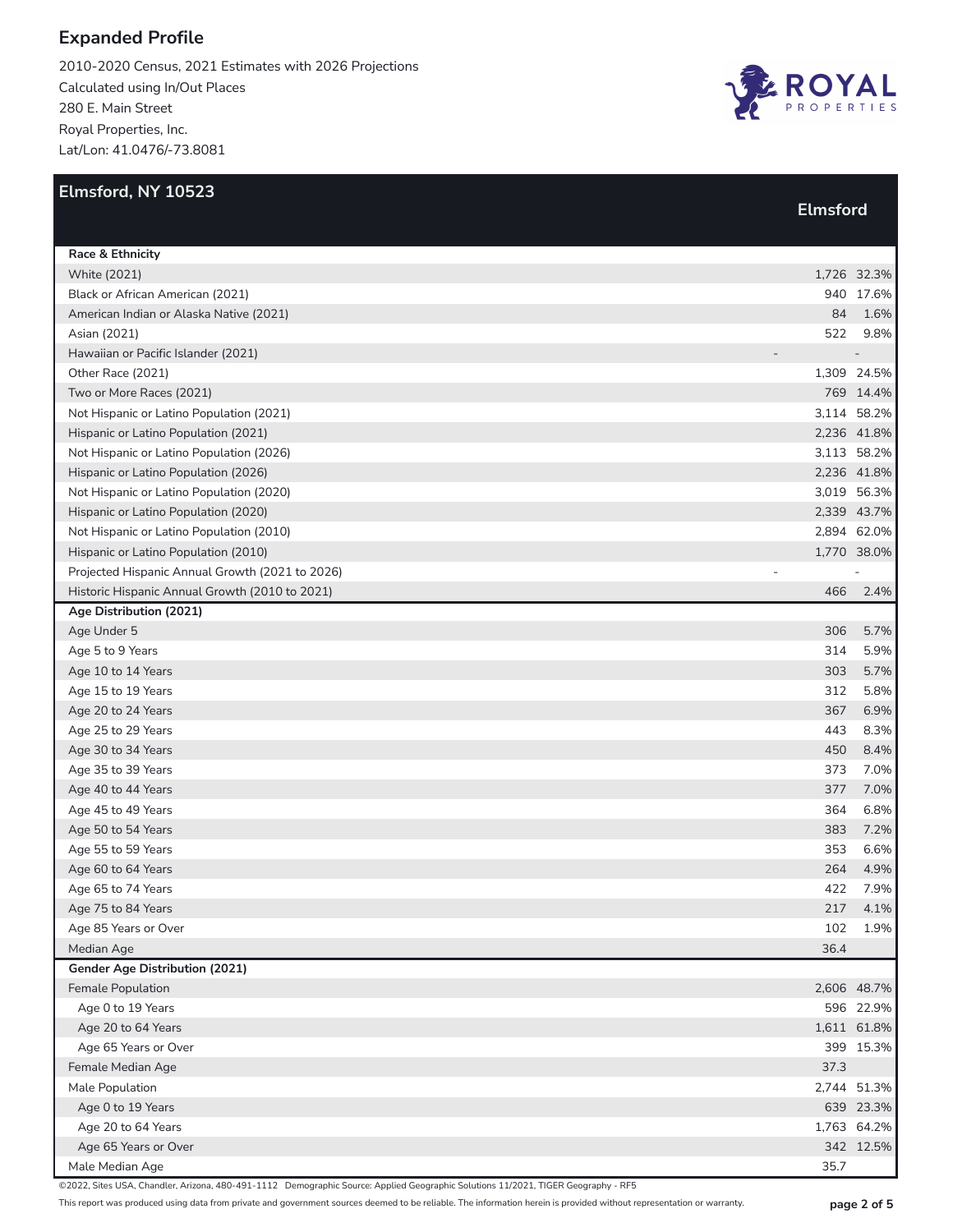2010-2020 Census, 2021 Estimates with 2026 Projections Calculated using In/Out Places 280 E. Main Street Royal Properties, Inc. Lat/Lon: 41.0476/-73.8081



| Elmsford, NY 10523                              |                 |             |
|-------------------------------------------------|-----------------|-------------|
|                                                 | <b>Elmsford</b> |             |
| Race & Ethnicity                                |                 |             |
| <b>White (2021)</b>                             |                 | 1,726 32.3% |
| Black or African American (2021)                |                 | 940 17.6%   |
| American Indian or Alaska Native (2021)         | 84              | 1.6%        |
| Asian (2021)                                    | 522             | 9.8%        |
| Hawaiian or Pacific Islander (2021)             |                 |             |
| Other Race (2021)                               |                 | 1,309 24.5% |
| Two or More Races (2021)                        |                 | 769 14.4%   |
| Not Hispanic or Latino Population (2021)        |                 | 3,114 58.2% |
| Hispanic or Latino Population (2021)            |                 | 2,236 41.8% |
| Not Hispanic or Latino Population (2026)        |                 | 3,113 58.2% |
| Hispanic or Latino Population (2026)            |                 | 2,236 41.8% |
| Not Hispanic or Latino Population (2020)        |                 | 3,019 56.3% |
| Hispanic or Latino Population (2020)            |                 | 2,339 43.7% |
| Not Hispanic or Latino Population (2010)        |                 | 2,894 62.0% |
| Hispanic or Latino Population (2010)            |                 | 1,770 38.0% |
| Projected Hispanic Annual Growth (2021 to 2026) |                 |             |
| Historic Hispanic Annual Growth (2010 to 2021)  | 466             | 2.4%        |
| Age Distribution (2021)                         |                 |             |
| Age Under 5                                     | 306             | 5.7%        |
| Age 5 to 9 Years                                | 314             | 5.9%        |
| Age 10 to 14 Years                              | 303             | 5.7%        |
| Age 15 to 19 Years                              | 312             | 5.8%        |
| Age 20 to 24 Years                              | 367             | 6.9%        |
| Age 25 to 29 Years                              | 443             | 8.3%        |
| Age 30 to 34 Years                              | 450             | 8.4%        |
| Age 35 to 39 Years                              | 373             | 7.0%        |
| Age 40 to 44 Years                              | 377             | 7.0%        |
| Age 45 to 49 Years                              | 364             | 6.8%        |
| Age 50 to 54 Years                              | 383             | 7.2%        |
| Age 55 to 59 Years                              | 353             | 6.6%        |
| Age 60 to 64 Years                              | 264             | 4.9%        |
| Age 65 to 74 Years                              | 422             | 7.9%        |
| Age 75 to 84 Years                              | 217             | 4.1%        |
| Age 85 Years or Over                            | 102             | 1.9%        |
| Median Age                                      | 36.4            |             |
| Gender Age Distribution (2021)                  |                 |             |
| Female Population                               |                 | 2,606 48.7% |
| Age 0 to 19 Years                               |                 | 596 22.9%   |
| Age 20 to 64 Years                              |                 | 1,611 61.8% |
|                                                 |                 | 399 15.3%   |
| Age 65 Years or Over                            |                 |             |
| Female Median Age                               | 37.3            |             |
| Male Population                                 |                 | 2,744 51.3% |
| Age 0 to 19 Years                               |                 | 639 23.3%   |
| Age 20 to 64 Years                              |                 | 1,763 64.2% |
| Age 65 Years or Over                            |                 | 342 12.5%   |
| Male Median Age                                 | 35.7            |             |

©2022, Sites USA, Chandler, Arizona, 480-491-1112 Demographic Source: Applied Geographic Solutions 11/2021, TIGER Geography - RF5

This report was produced using data from private and government sources deemed to be reliable. The information herein is provided without representation or warranty. **page 2 of 5**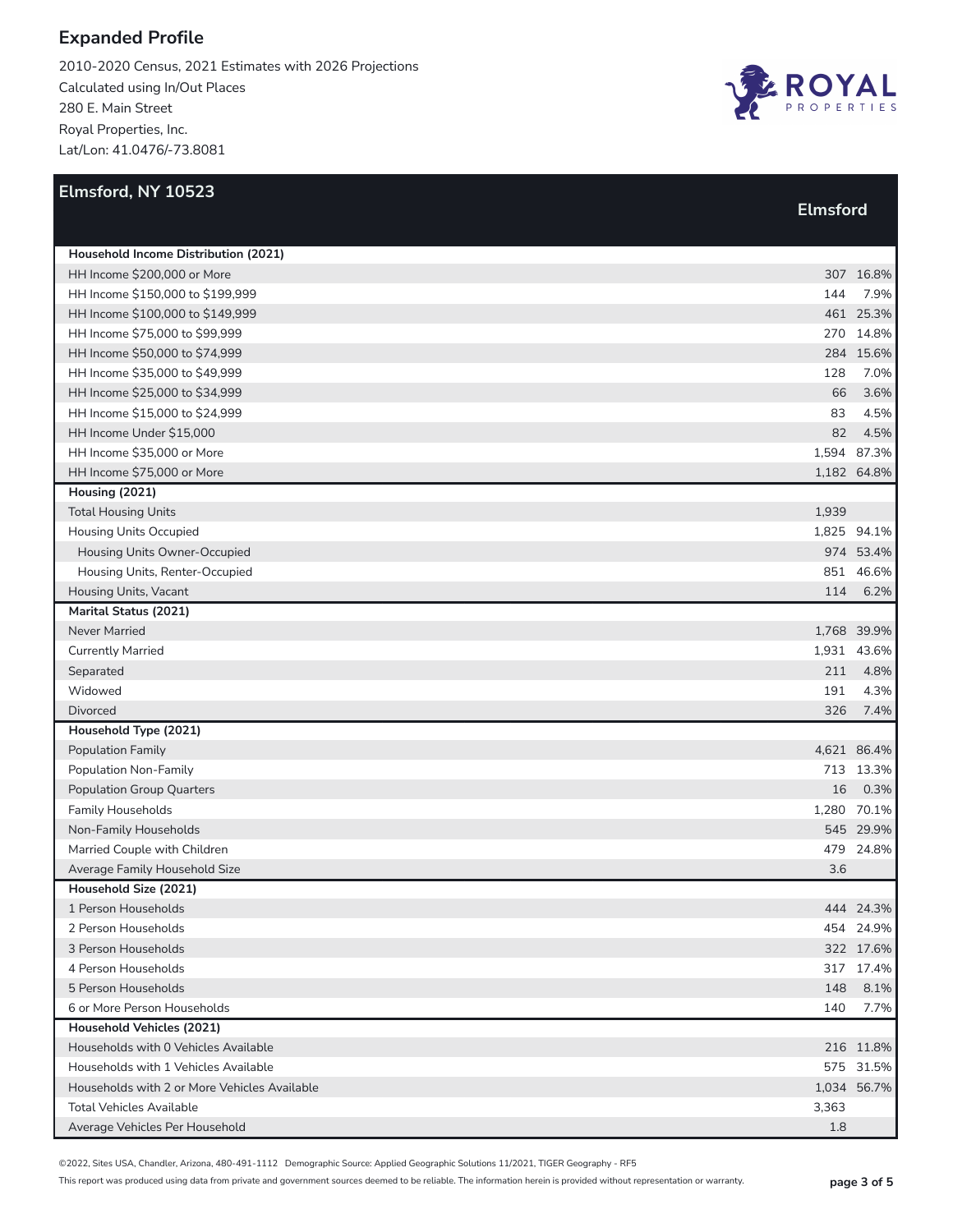2010-2020 Census, 2021 Estimates with 2026 Projections Calculated using In/Out Places 280 E. Main Street Royal Properties, Inc. Lat/Lon: 41.0476/-73.8081



| Elmsford, NY 10523                           |                 |             |
|----------------------------------------------|-----------------|-------------|
|                                              | <b>Elmsford</b> |             |
|                                              |                 |             |
| Household Income Distribution (2021)         |                 |             |
| HH Income \$200,000 or More                  |                 | 307 16.8%   |
| HH Income \$150,000 to \$199,999             | 144             | 7.9%        |
| HH Income \$100,000 to \$149,999             |                 | 461 25.3%   |
| HH Income \$75,000 to \$99,999               |                 | 270 14.8%   |
| HH Income \$50,000 to \$74,999               |                 | 284 15.6%   |
| HH Income \$35,000 to \$49,999               | 128             | 7.0%        |
| HH Income \$25,000 to \$34,999               | 66              | 3.6%        |
| HH Income \$15,000 to \$24,999               | 83              | 4.5%        |
| HH Income Under \$15,000                     | 82              | 4.5%        |
| HH Income \$35,000 or More                   |                 | 1,594 87.3% |
| HH Income \$75,000 or More                   |                 | 1,182 64.8% |
| Housing (2021)                               |                 |             |
| <b>Total Housing Units</b>                   | 1,939           |             |
| Housing Units Occupied                       |                 | 1,825 94.1% |
| Housing Units Owner-Occupied                 |                 | 974 53.4%   |
| Housing Units, Renter-Occupied               |                 | 851 46.6%   |
| Housing Units, Vacant                        | 114             | 6.2%        |
| Marital Status (2021)                        |                 |             |
| <b>Never Married</b>                         |                 | 1,768 39.9% |
| <b>Currently Married</b>                     |                 | 1,931 43.6% |
| Separated                                    | 211             | 4.8%        |
| Widowed                                      | 191             | 4.3%        |
| <b>Divorced</b>                              | 326             | 7.4%        |
| Household Type (2021)                        |                 |             |
| <b>Population Family</b>                     |                 | 4,621 86.4% |
| Population Non-Family                        |                 | 713 13.3%   |
| <b>Population Group Quarters</b>             | 16              | 0.3%        |
| <b>Family Households</b>                     |                 | 1,280 70.1% |
| Non-Family Households                        |                 | 545 29.9%   |
| Married Couple with Children                 |                 | 479 24.8%   |
| Average Family Household Size                | 3.6             |             |
| Household Size (2021)                        |                 |             |
| 1 Person Households                          |                 | 444 24.3%   |
| 2 Person Households                          |                 | 454 24.9%   |
| 3 Person Households                          |                 | 322 17.6%   |
| 4 Person Households                          |                 | 317 17.4%   |
| 5 Person Households                          | 148             | 8.1%        |
| 6 or More Person Households                  | 140             | 7.7%        |
| Household Vehicles (2021)                    |                 |             |
| Households with 0 Vehicles Available         |                 | 216 11.8%   |
| Households with 1 Vehicles Available         |                 | 575 31.5%   |
| Households with 2 or More Vehicles Available |                 | 1,034 56.7% |
| <b>Total Vehicles Available</b>              | 3,363           |             |
| Average Vehicles Per Household               | 1.8             |             |

©2022, Sites USA, Chandler, Arizona, 480-491-1112 Demographic Source: Applied Geographic Solutions 11/2021, TIGER Geography - RF5

This report was produced using data from private and government sources deemed to be reliable. The information herein is provided without representation or warranty. **page 3 of 5**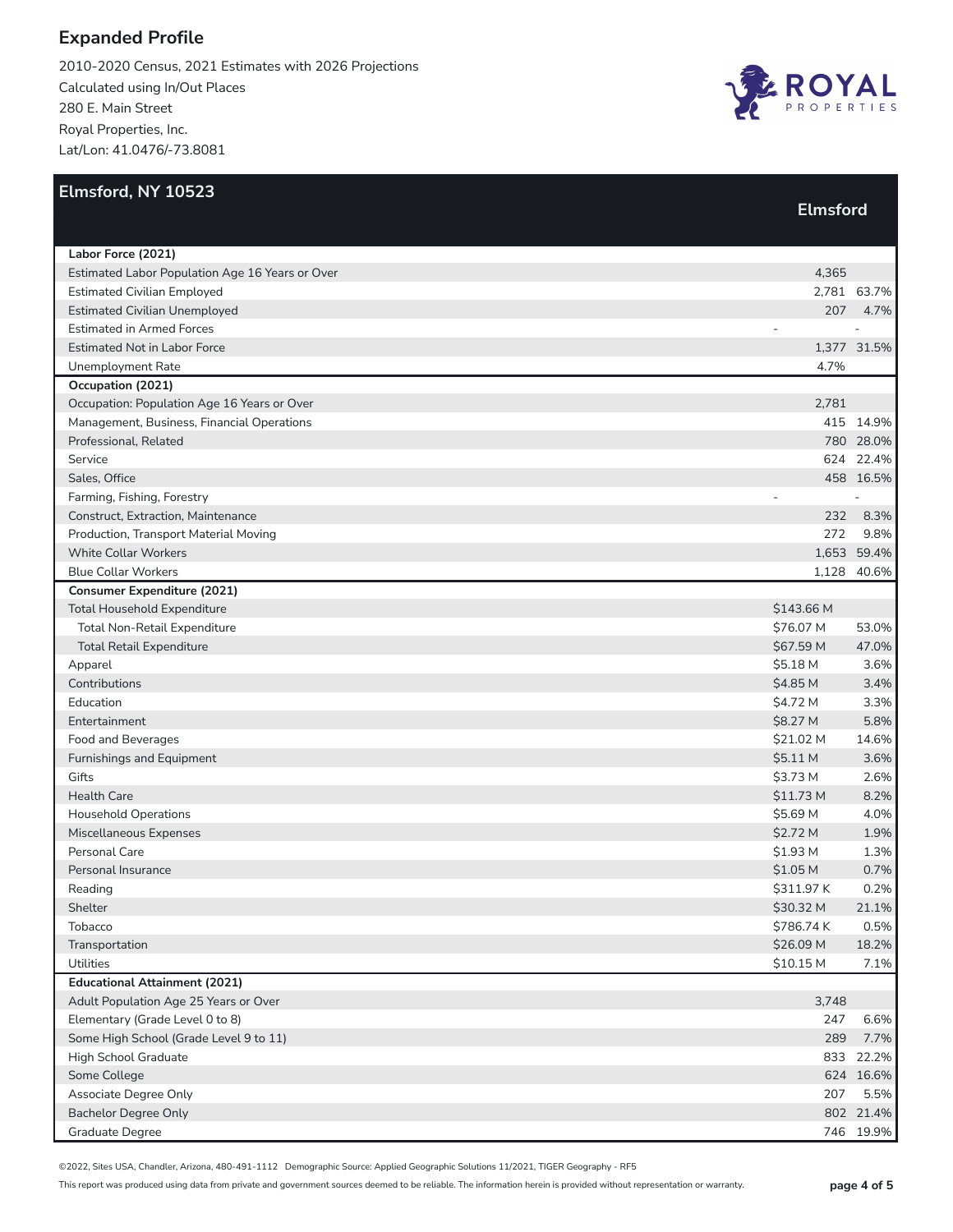2010-2020 Census, 2021 Estimates with 2026 Projections Calculated using In/Out Places 280 E. Main Street Royal Properties, Inc. Lat/Lon: 41.0476/-73.8081



| Elmsford, NY 10523                              |                 |                |
|-------------------------------------------------|-----------------|----------------|
|                                                 | <b>Elmsford</b> |                |
|                                                 |                 |                |
| Labor Force (2021)                              |                 |                |
| Estimated Labor Population Age 16 Years or Over | 4,365           |                |
| <b>Estimated Civilian Employed</b>              |                 | 2,781 63.7%    |
| <b>Estimated Civilian Unemployed</b>            |                 | 207 4.7%       |
| <b>Estimated in Armed Forces</b>                |                 |                |
| <b>Estimated Not in Labor Force</b>             |                 | 1,377 31.5%    |
| <b>Unemployment Rate</b>                        | 4.7%            |                |
| Occupation (2021)                               |                 |                |
| Occupation: Population Age 16 Years or Over     | 2,781           |                |
| Management, Business, Financial Operations      |                 | 415 14.9%      |
| Professional, Related                           |                 | 780 28.0%      |
| Service                                         |                 | 624 22.4%      |
| Sales, Office                                   |                 | 458 16.5%      |
| Farming, Fishing, Forestry                      |                 | $\overline{a}$ |
| Construct, Extraction, Maintenance              | 232             | 8.3%           |
| Production, Transport Material Moving           | 272             | 9.8%           |
| <b>White Collar Workers</b>                     |                 | 1,653 59.4%    |
| <b>Blue Collar Workers</b>                      |                 | 1,128 40.6%    |
| <b>Consumer Expenditure (2021)</b>              |                 |                |
| <b>Total Household Expenditure</b>              | \$143.66 M      |                |
| Total Non-Retail Expenditure                    | \$76.07 M       | 53.0%          |
| <b>Total Retail Expenditure</b>                 | \$67.59 M       | 47.0%          |
| Apparel                                         | \$5.18 M        | 3.6%           |
| Contributions                                   | \$4.85 M        | 3.4%           |
| Education                                       | \$4.72 M        | 3.3%           |
| Entertainment                                   | \$8.27 M        | 5.8%           |
| Food and Beverages                              | \$21.02 M       | 14.6%          |
| Furnishings and Equipment                       | \$5.11 M        | 3.6%           |
| Gifts                                           | \$3.73 M        | 2.6%           |
| <b>Health Care</b>                              | \$11.73 M       | 8.2%           |
| <b>Household Operations</b>                     | \$5.69 M        | 4.0%           |
| Miscellaneous Expenses                          | \$2.72 M        | 1.9%           |
| Personal Care                                   | \$1.93 M        | 1.3%           |
| Personal Insurance                              | \$1.05 M        | 0.7%           |
| Reading                                         | \$311.97 K      | 0.2%           |
| Shelter                                         | \$30.32 M       | 21.1%          |
| Tobacco                                         | \$786.74K       | 0.5%           |
| Transportation                                  | \$26.09 M       | 18.2%          |
| Utilities                                       | \$10.15 M       | 7.1%           |
| <b>Educational Attainment (2021)</b>            |                 |                |
| Adult Population Age 25 Years or Over           | 3,748           |                |
| Elementary (Grade Level 0 to 8)                 | 247             | 6.6%           |
| Some High School (Grade Level 9 to 11)          | 289             | 7.7%           |
| High School Graduate                            |                 | 833 22.2%      |
| Some College                                    |                 | 624 16.6%      |
| Associate Degree Only                           | 207             | 5.5%           |
| <b>Bachelor Degree Only</b>                     |                 | 802 21.4%      |
| Graduate Degree                                 |                 | 746 19.9%      |

©2022, Sites USA, Chandler, Arizona, 480-491-1112 Demographic Source: Applied Geographic Solutions 11/2021, TIGER Geography - RF5

This report was produced using data from private and government sources deemed to be reliable. The information herein is provided without representation or warranty. **page 4 of 5**